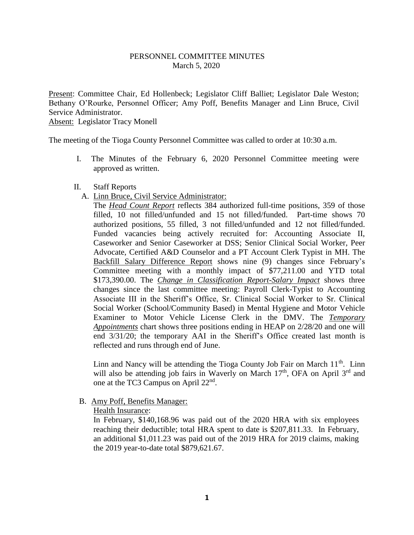## PERSONNEL COMMITTEE MINUTES March 5, 2020

Present: Committee Chair, Ed Hollenbeck; Legislator Cliff Balliet; Legislator Dale Weston; Bethany O'Rourke, Personnel Officer; Amy Poff, Benefits Manager and Linn Bruce, Civil Service Administrator. Absent: Legislator Tracy Monell

The meeting of the Tioga County Personnel Committee was called to order at 10:30 a.m.

I. The Minutes of the February 6, 2020 Personnel Committee meeting were approved as written.

#### II. Staff Reports

A. Linn Bruce, Civil Service Administrator:

The *Head Count Report* reflects 384 authorized full-time positions, 359 of those filled, 10 not filled/unfunded and 15 not filled/funded. Part-time shows 70 authorized positions, 55 filled, 3 not filled/unfunded and 12 not filled/funded. Funded vacancies being actively recruited for: Accounting Associate II, Caseworker and Senior Caseworker at DSS; Senior Clinical Social Worker, Peer Advocate, Certified A&D Counselor and a PT Account Clerk Typist in MH. The Backfill Salary Difference Report shows nine (9) changes since February's Committee meeting with a monthly impact of \$77,211.00 and YTD total \$173,390.00. The *Change in Classification Report-Salary Impact* shows three changes since the last committee meeting: Payroll Clerk-Typist to Accounting Associate III in the Sheriff's Office, Sr. Clinical Social Worker to Sr. Clinical Social Worker (School/Community Based) in Mental Hygiene and Motor Vehicle Examiner to Motor Vehicle License Clerk in the DMV. The *Temporary Appointments* chart shows three positions ending in HEAP on 2/28/20 and one will end 3/31/20; the temporary AAI in the Sheriff's Office created last month is reflected and runs through end of June.

Linn and Nancy will be attending the Tioga County Job Fair on March  $11<sup>th</sup>$ . Linn will also be attending job fairs in Waverly on March  $17<sup>th</sup>$ , OFA on April  $3<sup>rd</sup>$  and one at the TC3 Campus on April 22<sup>nd</sup>.

#### B. Amy Poff, Benefits Manager:

#### Health Insurance:

In February, \$140,168.96 was paid out of the 2020 HRA with six employees reaching their deductible; total HRA spent to date is \$207,811.33. In February, an additional \$1,011.23 was paid out of the 2019 HRA for 2019 claims, making the 2019 year-to-date total \$879,621.67.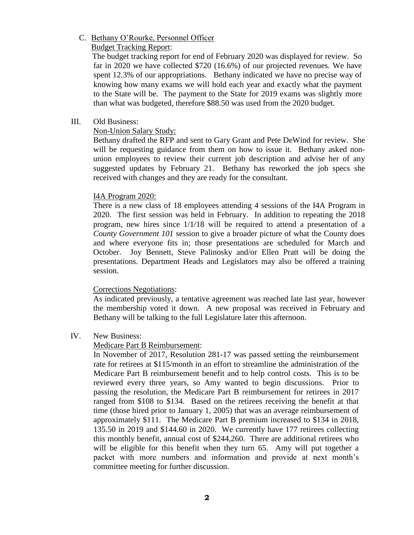## C. Bethany O'Rourke, Personnel Officer

Budget Tracking Report:

 The budget tracking report for end of February 2020 was displayed for review. So far in 2020 we have collected \$720 (16.6%) of our projected revenues. We have spent 12.3% of our appropriations. Bethany indicated we have no precise way of knowing how many exams we will hold each year and exactly what the payment to the State will be. The payment to the State for 2019 exams was slightly more than what was budgeted, therefore \$88.50 was used from the 2020 budget.

# III. Old Business:

Non-Union Salary Study:

Bethany drafted the RFP and sent to Gary Grant and Pete DeWind for review. She will be requesting guidance from them on how to issue it. Bethany asked nonunion employees to review their current job description and advise her of any suggested updates by February 21. Bethany has reworked the job specs she received with changes and they are ready for the consultant.

## I4A Program 2020:

There is a new class of 18 employees attending 4 sessions of the I4A Program in 2020. The first session was held in February. In addition to repeating the 2018 program, new hires since 1/1/18 will be required to attend a presentation of a *County Government 101* session to give a broader picture of what the County does and where everyone fits in; those presentations are scheduled for March and October. Joy Bennett, Steve Palinosky and/or Ellen Pratt will be doing the presentations. Department Heads and Legislators may also be offered a training session.

## Corrections Negotiations:

As indicated previously, a tentative agreement was reached late last year, however the membership voted it down. A new proposal was received in February and Bethany will be talking to the full Legislature later this afternoon.

## IV. New Business:

# Medicare Part B Reimbursement:

In November of 2017, Resolution 281-17 was passed setting the reimbursement rate for retirees at \$115/month in an effort to streamline the administration of the Medicare Part B reimbursement benefit and to help control costs. This is to be reviewed every three years, so Amy wanted to begin discussions. Prior to passing the resolution, the Medicare Part B reimbursement for retirees in 2017 ranged from \$108 to \$134. Based on the retirees receiving the benefit at that time (those hired prior to January 1, 2005) that was an average reimbursement of approximately \$111. The Medicare Part B premium increased to \$134 in 2018, 135.50 in 2019 and \$144.60 in 2020. We currently have 177 retirees collecting this monthly benefit, annual cost of \$244,260. There are additional retirees who will be eligible for this benefit when they turn 65. Amy will put together a packet with more numbers and information and provide at next month's committee meeting for further discussion.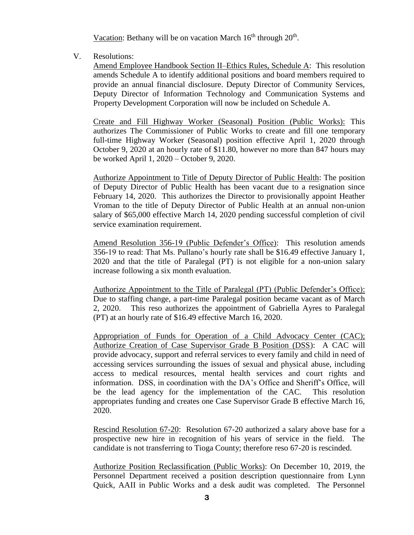Vacation: Bethany will be on vacation March  $16<sup>th</sup>$  through  $20<sup>th</sup>$ .

V. Resolutions:

Amend Employee Handbook Section II–Ethics Rules, Schedule A: This resolution amends Schedule A to identify additional positions and board members required to provide an annual financial disclosure. Deputy Director of Community Services, Deputy Director of Information Technology and Communication Systems and Property Development Corporation will now be included on Schedule A.

Create and Fill Highway Worker (Seasonal) Position (Public Works): This authorizes The Commissioner of Public Works to create and fill one temporary full-time Highway Worker (Seasonal) position effective April 1, 2020 through October 9, 2020 at an hourly rate of \$11.80, however no more than 847 hours may be worked April 1, 2020 – October 9, 2020.

Authorize Appointment to Title of Deputy Director of Public Health: The position of Deputy Director of Public Health has been vacant due to a resignation since February 14, 2020. This authorizes the Director to provisionally appoint Heather Vroman to the title of Deputy Director of Public Health at an annual non-union salary of \$65,000 effective March 14, 2020 pending successful completion of civil service examination requirement.

Amend Resolution 356-19 (Public Defender's Office): This resolution amends 356-19 to read: That Ms. Pullano's hourly rate shall be \$16.49 effective January 1, 2020 and that the title of Paralegal (PT) is not eligible for a non-union salary increase following a six month evaluation.

Authorize Appointment to the Title of Paralegal (PT) (Public Defender's Office): Due to staffing change, a part-time Paralegal position became vacant as of March 2, 2020. This reso authorizes the appointment of Gabriella Ayres to Paralegal (PT) at an hourly rate of \$16.49 effective March 16, 2020.

Appropriation of Funds for Operation of a Child Advocacy Center (CAC); Authorize Creation of Case Supervisor Grade B Position (DSS): A CAC will provide advocacy, support and referral services to every family and child in need of accessing services surrounding the issues of sexual and physical abuse, including access to medical resources, mental health services and court rights and information. DSS, in coordination with the DA's Office and Sheriff's Office, will be the lead agency for the implementation of the CAC. This resolution appropriates funding and creates one Case Supervisor Grade B effective March 16, 2020.

Rescind Resolution 67-20: Resolution 67-20 authorized a salary above base for a prospective new hire in recognition of his years of service in the field. The candidate is not transferring to Tioga County; therefore reso 67-20 is rescinded.

Authorize Position Reclassification (Public Works): On December 10, 2019, the Personnel Department received a position description questionnaire from Lynn Quick, AAII in Public Works and a desk audit was completed. The Personnel